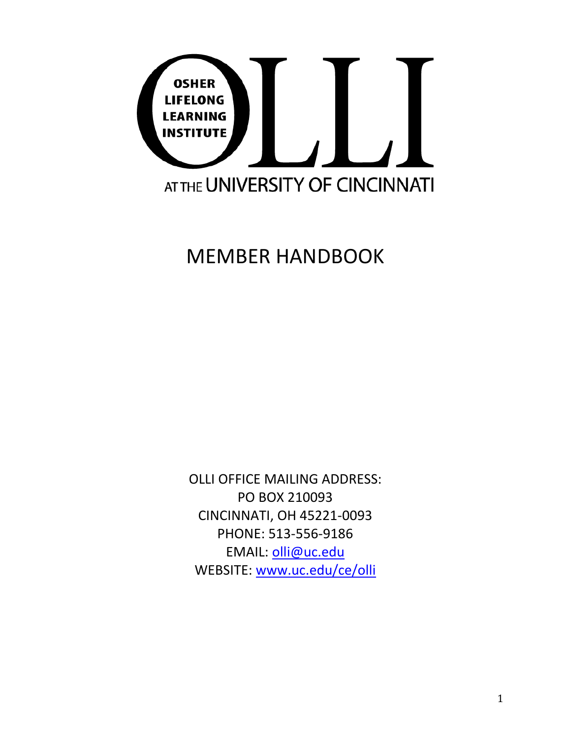

MEMBER HANDBOOK

OLLI OFFICE MAILING ADDRESS: PO BOX 210093 CINCINNATI, OH 45221-0093 PHONE: 513-556-9186 EMAIL: [olli@uc.edu](mailto:olli@uc.edu) WEBSITE: [www.uc.edu/ce/olli](http://www.uc.edu/ce/olli)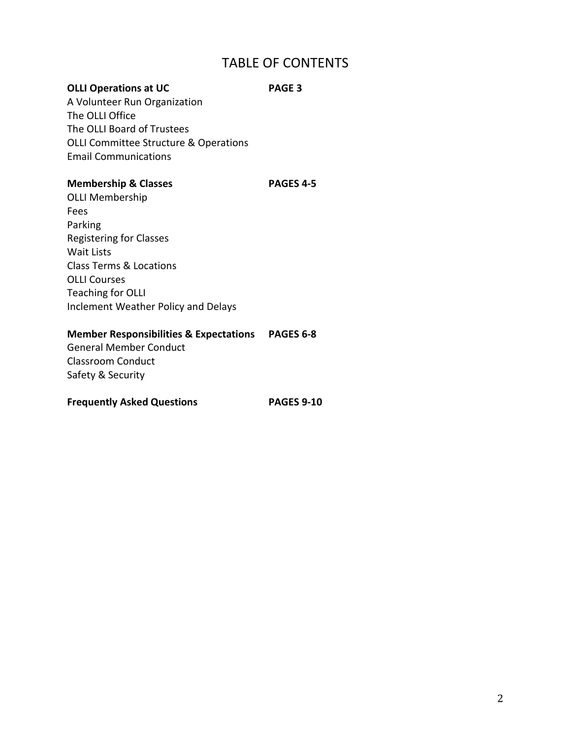# TABLE OF CONTENTS

# **OLLI Operations at UC PAGE 3**

A Volunteer Run Organization The OLLI Office The OLLI Board of Trustees OLLI Committee Structure & Operations Email Communications

# **Membership & Classes PAGES 4-5**

OLLI Membership Fees Parking Registering for Classes Wait Lists Class Terms & Locations OLLI Courses Teaching for OLLI Inclement Weather Policy and Delays

# **Member Responsibilities & Expectations PAGES 6-8**

General Member Conduct Classroom Conduct Safety & Security

# **Frequently Asked Questions PAGES 9-10**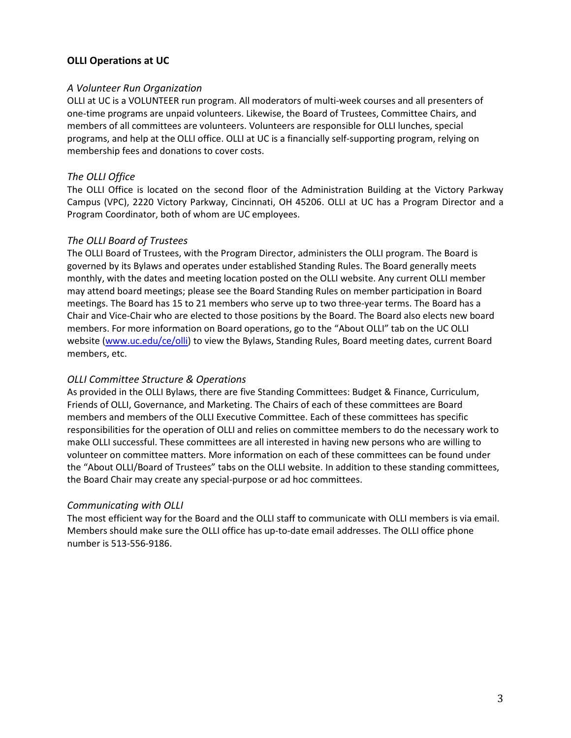# **OLLI Operations at UC**

## *A Volunteer Run Organization*

OLLI at UC is a VOLUNTEER run program. All moderators of multi-week courses and all presenters of one-time programs are unpaid volunteers. Likewise, the Board of Trustees, Committee Chairs, and members of all committees are volunteers. Volunteers are responsible for OLLI lunches, special programs, and help at the OLLI office. OLLI at UC is a financially self-supporting program, relying on membership fees and donations to cover costs.

# *The OLLI Office*

The OLLI Office is located on the second floor of the Administration Building at the Victory Parkway Campus (VPC), 2220 Victory Parkway, Cincinnati, OH 45206. OLLI at UC has a Program Director and a Program Coordinator, both of whom are UC employees.

# *The OLLI Board of Trustees*

The OLLI Board of Trustees, with the Program Director, administers the OLLI program. The Board is governed by its Bylaws and operates under established Standing Rules. The Board generally meets monthly, with the dates and meeting location posted on the OLLI website. Any current OLLI member may attend board meetings; please see the Board Standing Rules on member participation in Board meetings. The Board has 15 to 21 members who serve up to two three-year terms. The Board has a Chair and Vice-Chair who are elected to those positions by the Board. The Board also elects new board members. For more information on Board operations, go to the "About OLLI" tab on the UC OLLI website [\(www.uc.edu/ce/olli\)](http://www.uc.edu/ce/olli) to view the Bylaws, Standing Rules, Board meeting dates, current Board members, etc.

# *OLLI Committee Structure & Operations*

As provided in the OLLI Bylaws, there are five Standing Committees: Budget & Finance, Curriculum, Friends of OLLI, Governance, and Marketing. The Chairs of each of these committees are Board members and members of the OLLI Executive Committee. Each of these committees has specific responsibilities for the operation of OLLI and relies on committee members to do the necessary work to make OLLI successful. These committees are all interested in having new persons who are willing to volunteer on committee matters. More information on each of these committees can be found under the "About OLLI/Board of Trustees" tabs on the OLLI website. In addition to these standing committees, the Board Chair may create any special-purpose or ad hoc committees.

# *Communicating with OLLI*

The most efficient way for the Board and the OLLI staff to communicate with OLLI members is via email. Members should make sure the OLLI office has up-to-date email addresses. The OLLI office phone number is 513-556-9186.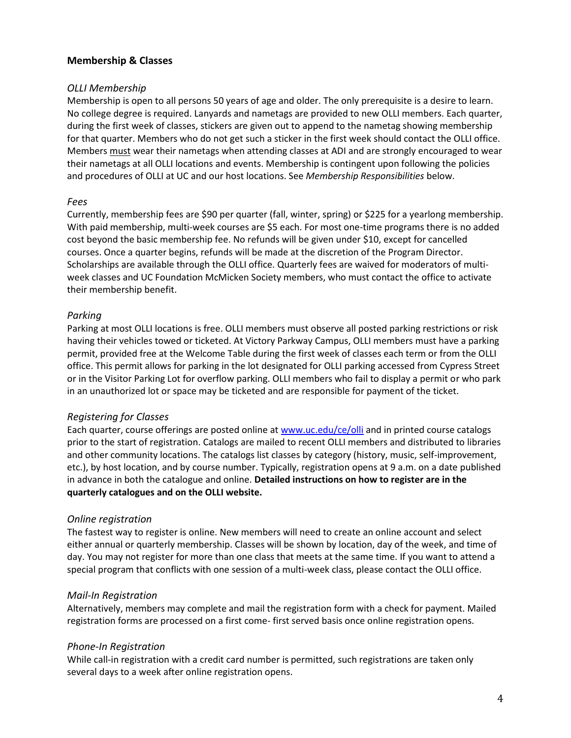# **Membership & Classes**

## *OLLI Membership*

Membership is open to all persons 50 years of age and older. The only prerequisite is a desire to learn. No college degree is required. Lanyards and nametags are provided to new OLLI members. Each quarter, during the first week of classes, stickers are given out to append to the nametag showing membership for that quarter. Members who do not get such a sticker in the first week should contact the OLLI office. Members must wear their nametags when attending classes at ADI and are strongly encouraged to wear their nametags at all OLLI locations and events. Membership is contingent upon following the policies and procedures of OLLI at UC and our host locations. See *Membership Responsibilities* below.

#### *Fees*

Currently, membership fees are \$90 per quarter (fall, winter, spring) or \$225 for a yearlong membership. With paid membership, multi-week courses are \$5 each. For most one-time programs there is no added cost beyond the basic membership fee. No refunds will be given under \$10, except for cancelled courses. Once a quarter begins, refunds will be made at the discretion of the Program Director. Scholarships are available through the OLLI office. Quarterly fees are waived for moderators of multiweek classes and UC Foundation McMicken Society members, who must contact the office to activate their membership benefit.

# *Parking*

Parking at most OLLI locations is free. OLLI members must observe all posted parking restrictions or risk having their vehicles towed or ticketed. At Victory Parkway Campus, OLLI members must have a parking permit, provided free at the Welcome Table during the first week of classes each term or from the OLLI office. This permit allows for parking in the lot designated for OLLI parking accessed from Cypress Street or in the Visitor Parking Lot for overflow parking. OLLI members who fail to display a permit or who park in an unauthorized lot or space may be ticketed and are responsible for payment of the ticket.

# *Registering for Classes*

Each quarter, course offerings are posted online at [www.uc.edu/ce/olli](http://www.uc.edu/ce/olli) and in printed course catalogs prior to the start of registration. Catalogs are mailed to recent OLLI members and distributed to libraries and other community locations. The catalogs list classes by category (history, music, self-improvement, etc.), by host location, and by course number. Typically, registration opens at 9 a.m. on a date published in advance in both the catalogue and online. **Detailed instructions on how to register are in the quarterly catalogues and on the OLLI website.**

# *Online registration*

The fastest way to register is online. New members will need to create an online account and select either annual or quarterly membership. Classes will be shown by location, day of the week, and time of day. You may not register for more than one class that meets at the same time. If you want to attend a special program that conflicts with one session of a multi-week class, please contact the OLLI office.

# *Mail-In Registration*

Alternatively, members may complete and mail the registration form with a check for payment. Mailed registration forms are processed on a first come- first served basis once online registration opens.

# *Phone-In Registration*

While call-in registration with a credit card number is permitted, such registrations are taken only several days to a week after online registration opens.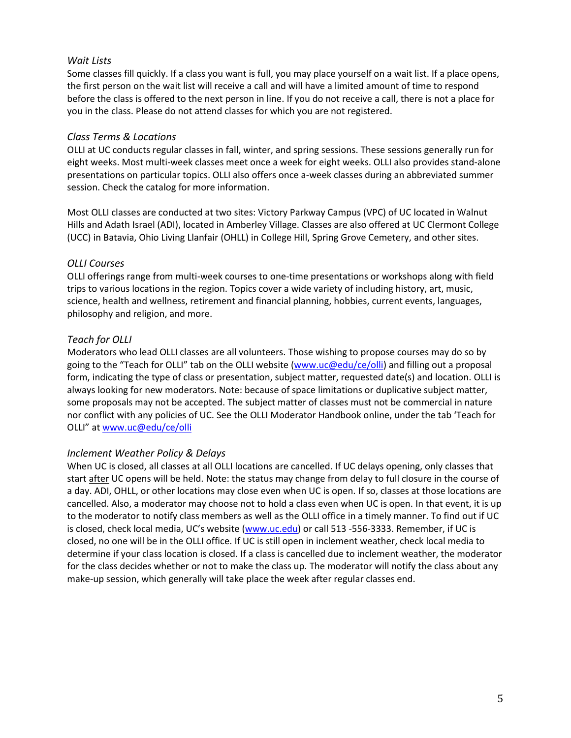#### *Wait Lists*

Some classes fill quickly. If a class you want is full, you may place yourself on a wait list. If a place opens, the first person on the wait list will receive a call and will have a limited amount of time to respond before the class is offered to the next person in line. If you do not receive a call, there is not a place for you in the class. Please do not attend classes for which you are not registered.

#### *Class Terms & Locations*

OLLI at UC conducts regular classes in fall, winter, and spring sessions. These sessions generally run for eight weeks. Most multi-week classes meet once a week for eight weeks. OLLI also provides stand-alone presentations on particular topics. OLLI also offers once a-week classes during an abbreviated summer session. Check the catalog for more information.

Most OLLI classes are conducted at two sites: Victory Parkway Campus (VPC) of UC located in Walnut Hills and Adath Israel (ADI), located in Amberley Village. Classes are also offered at UC Clermont College (UCC) in Batavia, Ohio Living Llanfair (OHLL) in College Hill, Spring Grove Cemetery, and other sites.

#### *OLLI Courses*

OLLI offerings range from multi-week courses to one-time presentations or workshops along with field trips to various locations in the region. Topics cover a wide variety of including history, art, music, science, health and wellness, retirement and financial planning, hobbies, current events, languages, philosophy and religion, and more.

#### *Teach for OLLI*

Moderators who lead OLLI classes are all volunteers. Those wishing to propose courses may do so by going to the "Teach for OLLI" tab on the OLLI website [\(www.uc@edu/ce/olli\)](http://www.uc@edu/ce/olli) and filling out a proposal form, indicating the type of class or presentation, subject matter, requested date(s) and location. OLLI is always looking for new moderators. Note: because of space limitations or duplicative subject matter, some proposals may not be accepted. The subject matter of classes must not be commercial in nature nor conflict with any policies of UC. See the OLLI Moderator Handbook online, under the tab 'Teach for OLLI" at [www.uc@edu/ce/olli](http://www.uc@edu/ce/olli)

# *Inclement Weather Policy & Delays*

When UC is closed, all classes at all OLLI locations are cancelled. If UC delays opening, only classes that start after UC opens will be held. Note: the status may change from delay to full closure in the course of a day. ADI, OHLL, or other locations may close even when UC is open. If so, classes at those locations are cancelled. Also, a moderator may choose not to hold a class even when UC is open. In that event, it is up to the moderator to notify class members as well as the OLLI office in a timely manner. To find out if UC is closed, check local media, UC's website ([www.uc.edu\)](http://www.uc.edu/) or call 513 -556-3333. Remember, if UC is closed, no one will be in the OLLI office. If UC is still open in inclement weather, check local media to determine if your class location is closed. If a class is cancelled due to inclement weather, the moderator for the class decides whether or not to make the class up. The moderator will notify the class about any make-up session, which generally will take place the week after regular classes end.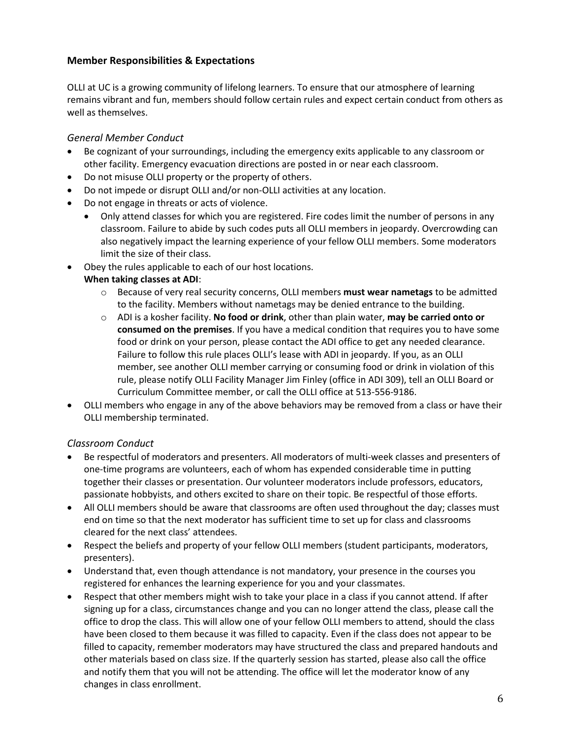# **Member Responsibilities & Expectations**

OLLI at UC is a growing community of lifelong learners. To ensure that our atmosphere of learning remains vibrant and fun, members should follow certain rules and expect certain conduct from others as well as themselves.

# *General Member Conduct*

- Be cognizant of your surroundings, including the emergency exits applicable to any classroom or other facility. Emergency evacuation directions are posted in or near each classroom.
- Do not misuse OLLI property or the property of others.
- Do not impede or disrupt OLLI and/or non-OLLI activities at any location.
- Do not engage in threats or acts of violence.
	- Only attend classes for which you are registered. Fire codes limit the number of persons in any classroom. Failure to abide by such codes puts all OLLI members in jeopardy. Overcrowding can also negatively impact the learning experience of your fellow OLLI members. Some moderators limit the size of their class.
- Obey the rules applicable to each of our host locations.

# **When taking classes at ADI**:

- o Because of very real security concerns, OLLI members **must wear nametags** to be admitted to the facility. Members without nametags may be denied entrance to the building.
- o ADI is a kosher facility. **No food or drink**, other than plain water, **may be carried onto or consumed on the premises**. If you have a medical condition that requires you to have some food or drink on your person, please contact the ADI office to get any needed clearance. Failure to follow this rule places OLLI's lease with ADI in jeopardy. If you, as an OLLI member, see another OLLI member carrying or consuming food or drink in violation of this rule, please notify OLLI Facility Manager Jim Finley (office in ADI 309), tell an OLLI Board or Curriculum Committee member, or call the OLLI office at 513-556-9186.
- OLLI members who engage in any of the above behaviors may be removed from a class or have their OLLI membership terminated.

# *Classroom Conduct*

- Be respectful of moderators and presenters. All moderators of multi-week classes and presenters of one-time programs are volunteers, each of whom has expended considerable time in putting together their classes or presentation. Our volunteer moderators include professors, educators, passionate hobbyists, and others excited to share on their topic. Be respectful of those efforts.
- All OLLI members should be aware that classrooms are often used throughout the day; classes must end on time so that the next moderator has sufficient time to set up for class and classrooms cleared for the next class' attendees.
- Respect the beliefs and property of your fellow OLLI members (student participants, moderators, presenters).
- Understand that, even though attendance is not mandatory, your presence in the courses you registered for enhances the learning experience for you and your classmates.
- Respect that other members might wish to take your place in a class if you cannot attend. If after signing up for a class, circumstances change and you can no longer attend the class, please call the office to drop the class. This will allow one of your fellow OLLI members to attend, should the class have been closed to them because it was filled to capacity. Even if the class does not appear to be filled to capacity, remember moderators may have structured the class and prepared handouts and other materials based on class size. If the quarterly session has started, please also call the office and notify them that you will not be attending. The office will let the moderator know of any changes in class enrollment.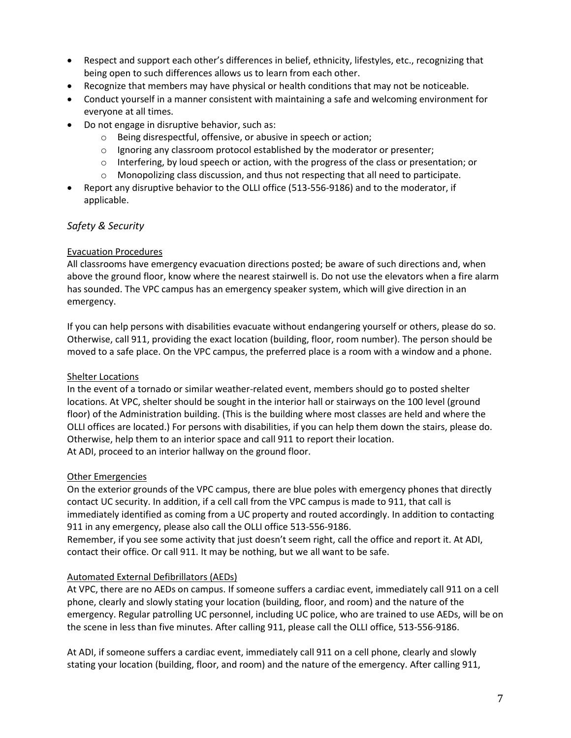- Respect and support each other's differences in belief, ethnicity, lifestyles, etc., recognizing that being open to such differences allows us to learn from each other.
- Recognize that members may have physical or health conditions that may not be noticeable.
- Conduct yourself in a manner consistent with maintaining a safe and welcoming environment for everyone at all times.
- Do not engage in disruptive behavior, such as:
	- o Being disrespectful, offensive, or abusive in speech or action;
	- $\circ$  Ignoring any classroom protocol established by the moderator or presenter;
	- $\circ$  Interfering, by loud speech or action, with the progress of the class or presentation; or
	- $\circ$  Monopolizing class discussion, and thus not respecting that all need to participate.
- Report any disruptive behavior to the OLLI office (513-556-9186) and to the moderator, if applicable.

# *Safety & Security*

#### Evacuation Procedures

All classrooms have emergency evacuation directions posted; be aware of such directions and, when above the ground floor, know where the nearest stairwell is. Do not use the elevators when a fire alarm has sounded. The VPC campus has an emergency speaker system, which will give direction in an emergency.

If you can help persons with disabilities evacuate without endangering yourself or others, please do so. Otherwise, call 911, providing the exact location (building, floor, room number). The person should be moved to a safe place. On the VPC campus, the preferred place is a room with a window and a phone.

#### Shelter Locations

In the event of a tornado or similar weather-related event, members should go to posted shelter locations. At VPC, shelter should be sought in the interior hall or stairways on the 100 level (ground floor) of the Administration building. (This is the building where most classes are held and where the OLLI offices are located.) For persons with disabilities, if you can help them down the stairs, please do. Otherwise, help them to an interior space and call 911 to report their location. At ADI, proceed to an interior hallway on the ground floor.

#### Other Emergencies

On the exterior grounds of the VPC campus, there are blue poles with emergency phones that directly contact UC security. In addition, if a cell call from the VPC campus is made to 911, that call is immediately identified as coming from a UC property and routed accordingly. In addition to contacting 911 in any emergency, please also call the OLLI office 513-556-9186.

Remember, if you see some activity that just doesn't seem right, call the office and report it. At ADI, contact their office. Or call 911. It may be nothing, but we all want to be safe.

# Automated External Defibrillators (AEDs)

At VPC, there are no AEDs on campus. If someone suffers a cardiac event, immediately call 911 on a cell phone, clearly and slowly stating your location (building, floor, and room) and the nature of the emergency. Regular patrolling UC personnel, including UC police, who are trained to use AEDs, will be on the scene in less than five minutes. After calling 911, please call the OLLI office, 513-556-9186.

At ADI, if someone suffers a cardiac event, immediately call 911 on a cell phone, clearly and slowly stating your location (building, floor, and room) and the nature of the emergency. After calling 911,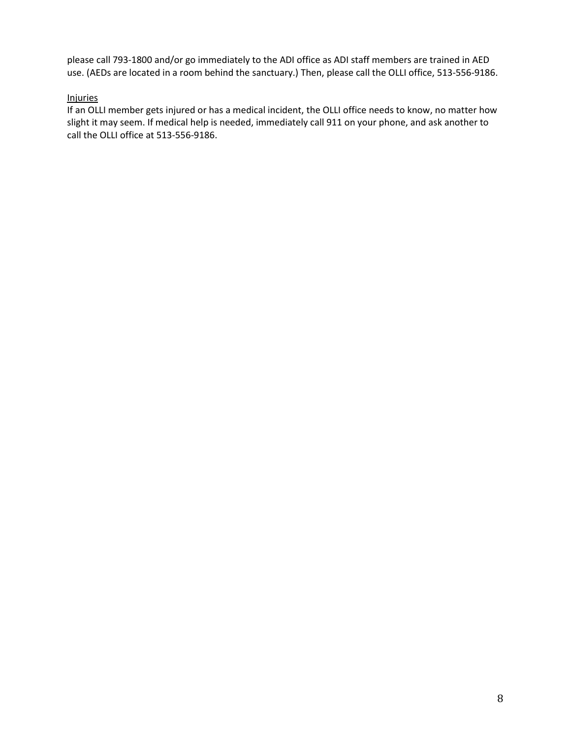please call 793-1800 and/or go immediately to the ADI office as ADI staff members are trained in AED use. (AEDs are located in a room behind the sanctuary.) Then, please call the OLLI office, 513-556-9186.

#### Injuries

If an OLLI member gets injured or has a medical incident, the OLLI office needs to know, no matter how slight it may seem. If medical help is needed, immediately call 911 on your phone, and ask another to call the OLLI office at 513-556-9186.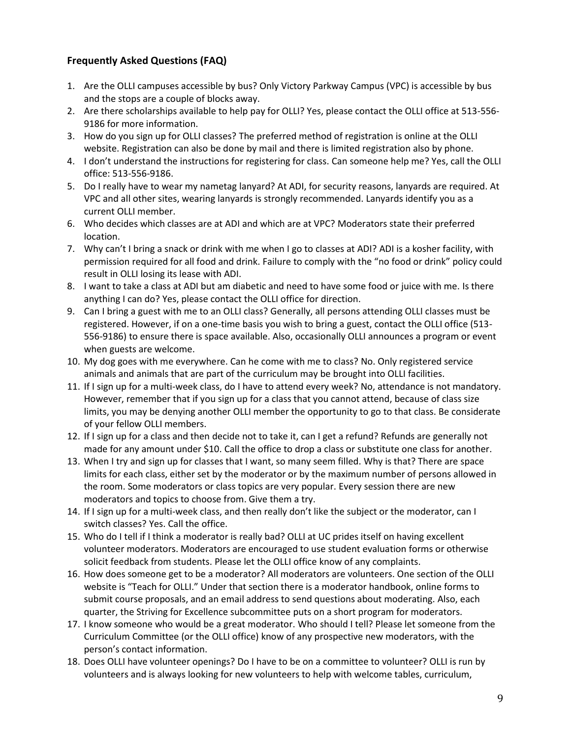# **Frequently Asked Questions (FAQ)**

- 1. Are the OLLI campuses accessible by bus? Only Victory Parkway Campus (VPC) is accessible by bus and the stops are a couple of blocks away.
- 2. Are there scholarships available to help pay for OLLI? Yes, please contact the OLLI office at 513-556- 9186 for more information.
- 3. How do you sign up for OLLI classes? The preferred method of registration is online at the OLLI website. Registration can also be done by mail and there is limited registration also by phone.
- 4. I don't understand the instructions for registering for class. Can someone help me? Yes, call the OLLI office: 513-556-9186.
- 5. Do I really have to wear my nametag lanyard? At ADI, for security reasons, lanyards are required. At VPC and all other sites, wearing lanyards is strongly recommended. Lanyards identify you as a current OLLI member.
- 6. Who decides which classes are at ADI and which are at VPC? Moderators state their preferred location.
- 7. Why can't I bring a snack or drink with me when I go to classes at ADI? ADI is a kosher facility, with permission required for all food and drink. Failure to comply with the "no food or drink" policy could result in OLLI losing its lease with ADI.
- 8. I want to take a class at ADI but am diabetic and need to have some food or juice with me. Is there anything I can do? Yes, please contact the OLLI office for direction.
- 9. Can I bring a guest with me to an OLLI class? Generally, all persons attending OLLI classes must be registered. However, if on a one-time basis you wish to bring a guest, contact the OLLI office (513- 556-9186) to ensure there is space available. Also, occasionally OLLI announces a program or event when guests are welcome.
- 10. My dog goes with me everywhere. Can he come with me to class? No. Only registered service animals and animals that are part of the curriculum may be brought into OLLI facilities.
- 11. If I sign up for a multi-week class, do I have to attend every week? No, attendance is not mandatory. However, remember that if you sign up for a class that you cannot attend, because of class size limits, you may be denying another OLLI member the opportunity to go to that class. Be considerate of your fellow OLLI members.
- 12. If I sign up for a class and then decide not to take it, can I get a refund? Refunds are generally not made for any amount under \$10. Call the office to drop a class or substitute one class for another.
- 13. When I try and sign up for classes that I want, so many seem filled. Why is that? There are space limits for each class, either set by the moderator or by the maximum number of persons allowed in the room. Some moderators or class topics are very popular. Every session there are new moderators and topics to choose from. Give them a try.
- 14. If I sign up for a multi-week class, and then really don't like the subject or the moderator, can I switch classes? Yes. Call the office.
- 15. Who do I tell if I think a moderator is really bad? OLLI at UC prides itself on having excellent volunteer moderators. Moderators are encouraged to use student evaluation forms or otherwise solicit feedback from students. Please let the OLLI office know of any complaints.
- 16. How does someone get to be a moderator? All moderators are volunteers. One section of the OLLI website is "Teach for OLLI." Under that section there is a moderator handbook, online forms to submit course proposals, and an email address to send questions about moderating. Also, each quarter, the Striving for Excellence subcommittee puts on a short program for moderators.
- 17. I know someone who would be a great moderator. Who should I tell? Please let someone from the Curriculum Committee (or the OLLI office) know of any prospective new moderators, with the person's contact information.
- 18. Does OLLI have volunteer openings? Do I have to be on a committee to volunteer? OLLI is run by volunteers and is always looking for new volunteers to help with welcome tables, curriculum,